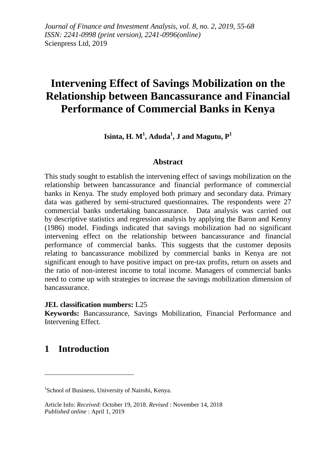*Journal of Finance and Investment Analysis, vol. 8, no. 2, 2019, 55-68 ISSN: 2241-0998 (print version), 2241-0996(online)* Scienpress Ltd, 2019

# **Intervening Effect of Savings Mobilization on the Relationship between Bancassurance and Financial Performance of Commercial Banks in Kenya**

 $\mathbf{I} \mathbf{s}$ inta,  $\mathbf{H}$ .  $\mathbf{M}^1$ ,  $\mathbf{A} \mathbf{d} \mathbf{u} \mathbf{d} \mathbf{a}^1$ ,  $\mathbf{J}$  and  $\mathbf{M} \mathbf{a} \mathbf{g}$ utu,  $\mathbf{P}^1$ 

#### **Abstract**

This study sought to establish the intervening effect of savings mobilization on the relationship between bancassurance and financial performance of commercial banks in Kenya. The study employed both primary and secondary data. Primary data was gathered by semi-structured questionnaires. The respondents were 27 commercial banks undertaking bancassurance. Data analysis was carried out by descriptive statistics and regression analysis by applying the Baron and Kenny (1986) model. Findings indicated that savings mobilization had no significant intervening effect on the relationship between bancassurance and financial performance of commercial banks. This suggests that the customer deposits relating to bancassurance mobilized by commercial banks in Kenya are not significant enough to have positive impact on pre-tax profits, return on assets and the ratio of non-interest income to total income. Managers of commercial banks need to come up with strategies to increase the savings mobilization dimension of bancassurance.

#### **JEL classification numbers:** L25

**Keywords:** Bancassurance, Savings Mobilization, Financial Performance and Intervening Effect.

### **1 Introduction**

1

<sup>&</sup>lt;sup>1</sup>School of Business, University of Nairobi, Kenya.

Article Info: *Received*: October 19, 2018. *Revised* : November 14, 2018 *Published online* : April 1, 2019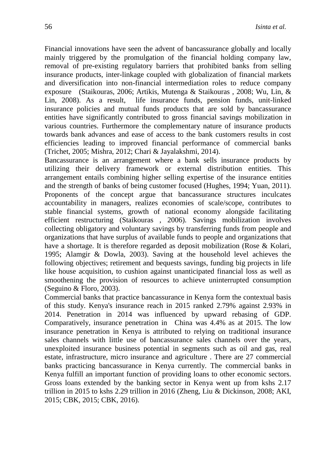Financial innovations have seen the advent of bancassurance globally and locally mainly triggered by the promulgation of the financial holding company law, removal of pre-existing regulatory barriers that prohibited banks from selling insurance products, inter-linkage coupled with globalization of financial markets and diversification into non-financial intermediation roles to reduce company exposure (Staikouras, 2006; Artikis, Mutenga & Staikouras , 2008; Wu, Lin, & Lin, 2008). As a result, life insurance funds, pension funds, unit-linked insurance policies and mutual funds products that are sold by bancassurance entities have significantly contributed to gross financial savings mobilization in various countries. Furthermore the complementary nature of insurance products towards bank advances and ease of access to the bank customers results in cost efficiencies leading to improved financial performance of commercial banks (Trichet, 2005; Mishra, 2012; Chari & Jayalakshmi, 2014).

Bancassurance is an arrangement where a bank sells insurance products by utilizing their delivery framework or external distribution entities. This arrangement entails combining higher selling expertise of the insurance entities and the strength of banks of being customer focused (Hughes, 1994; Yuan, 2011). Proponents of the concept argue that bancassurance structures inculcates accountability in managers, realizes economies of scale/scope, contributes to stable financial systems, growth of national economy alongside facilitating efficient restructuring (Staikouras , 2006). Savings mobilization involves collecting obligatory and voluntary savings by transferring funds from people and organizations that have surplus of available funds to people and organizations that have a shortage. It is therefore regarded as deposit mobilization (Rose & Kolari, 1995; Alamgir & Dowla, 2003). Saving at the household level achieves the following objectives; retirement and bequests savings, funding big projects in life like house acquisition, to cushion against unanticipated financial loss as well as smoothening the provision of resources to achieve uninterrupted consumption (Seguino & Floro, 2003).

Commercial banks that practice bancassurance in Kenya form the contextual basis of this study. Kenya's insurance reach in 2015 ranked 2.79% against 2.93% in 2014. Penetration in 2014 was influenced by upward rebasing of GDP. Comparatively, insurance penetration in China was 4.4% as at 2015. The low insurance penetration in Kenya is attributed to relying on traditional insurance sales channels with little use of bancassurance sales channels over the years, unexploited insurance business potential in segments such as oil and gas, real estate, infrastructure, micro insurance and agriculture . There are 27 commercial banks practicing bancassurance in Kenya currently. The commercial banks in Kenya fulfill an important function of providing loans to other economic sectors. Gross loans extended by the banking sector in Kenya went up from kshs 2.17 trillion in 2015 to kshs 2.29 trillion in 2016 (Zheng, Liu & Dickinson, 2008; AKI, 2015; CBK, 2015; CBK, 2016).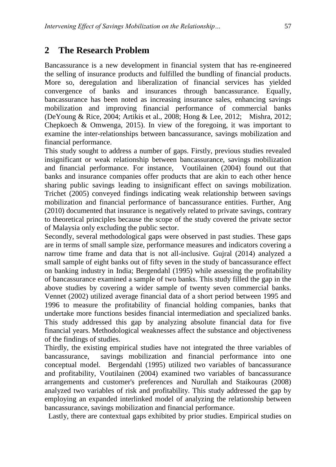# **2 The Research Problem**

Bancassurance is a new development in financial system that has re-engineered the selling of insurance products and fulfilled the bundling of financial products. More so, deregulation and liberalization of financial services has yielded convergence of banks and insurances through bancassurance. Equally, bancassurance has been noted as increasing insurance sales, enhancing savings mobilization and improving financial performance of commercial banks (DeYoung & Rice, 2004; Artikis et al., 2008; Hong & Lee, 2012; Mishra, 2012; Chepkoech & Omwenga, 2015). In view of the foregoing, it was important to examine the inter-relationships between bancassurance, savings mobilization and financial performance.

This study sought to address a number of gaps. Firstly, previous studies revealed insignificant or weak relationship between bancassurance, savings mobilization and financial performance. For instance, Voutilainen (2004) found out that banks and insurance companies offer products that are akin to each other hence sharing public savings leading to insignificant effect on savings mobilization. Trichet (2005) conveyed findings indicating weak relationship between savings mobilization and financial performance of bancassurance entities. Further, Ang (2010) documented that insurance is negatively related to private savings, contrary to theoretical principles because the scope of the study covered the private sector of Malaysia only excluding the public sector.

Secondly, several methodological gaps were observed in past studies. These gaps are in terms of small sample size, performance measures and indicators covering a narrow time frame and data that is not all-inclusive. Gujral (2014) analyzed a small sample of eight banks out of fifty seven in the study of bancassurance effect on banking industry in India; Bergendahl (1995) while assessing the profitability of bancassurance examined a sample of two banks. This study filled the gap in the above studies by covering a wider sample of twenty seven commercial banks. Vennet (2002) utilized average financial data of a short period between 1995 and 1996 to measure the profitability of financial holding companies, banks that undertake more functions besides financial intermediation and specialized banks. This study addressed this gap by analyzing absolute financial data for five financial years. Methodological weaknesses affect the substance and objectiveness of the findings of studies.

Thirdly, the existing empirical studies have not integrated the three variables of bancassurance, savings mobilization and financial performance into one conceptual model. Bergendahl (1995) utilized two variables of bancassurance and profitability, Voutilainen (2004) examined two variables of bancassurance arrangements and customer's preferences and Nurullah and Staikouras (2008) analyzed two variables of risk and profitability. This study addressed the gap by employing an expanded interlinked model of analyzing the relationship between bancassurance, savings mobilization and financial performance.

Lastly, there are contextual gaps exhibited by prior studies. Empirical studies on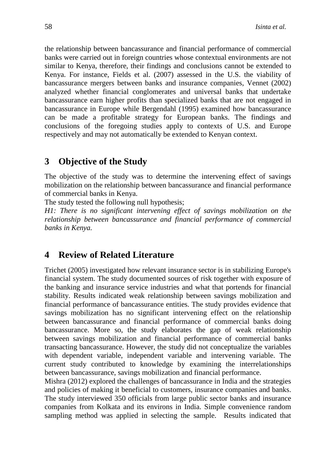the relationship between bancassurance and financial performance of commercial banks were carried out in foreign countries whose contextual environments are not similar to Kenya, therefore, their findings and conclusions cannot be extended to Kenya. For instance, Fields et al. (2007) assessed in the U.S. the viability of bancassurance mergers between banks and insurance companies, Vennet (2002) analyzed whether financial conglomerates and universal banks that undertake bancassurance earn higher profits than specialized banks that are not engaged in bancassurance in Europe while Bergendahl (1995) examined how bancassurance can be made a profitable strategy for European banks. The findings and conclusions of the foregoing studies apply to contexts of U.S. and Europe respectively and may not automatically be extended to Kenyan context.

### **3 Objective of the Study**

The objective of the study was to determine the intervening effect of savings mobilization on the relationship between bancassurance and financial performance of commercial banks in Kenya.

The study tested the following null hypothesis;

*H1: There is no significant intervening effect of savings mobilization on the relationship between bancassurance and financial performance of commercial banks in Kenya.*

### **4 Review of Related Literature**

Trichet (2005) investigated how relevant insurance sector is in stabilizing Europe's financial system. The study documented sources of risk together with exposure of the banking and insurance service industries and what that portends for financial stability. Results indicated weak relationship between savings mobilization and financial performance of bancassurance entities. The study provides evidence that savings mobilization has no significant intervening effect on the relationship between bancassurance and financial performance of commercial banks doing bancassurance. More so, the study elaborates the gap of weak relationship between savings mobilization and financial performance of commercial banks transacting bancassurance. However, the study did not conceptualize the variables with dependent variable, independent variable and intervening variable. The current study contributed to knowledge by examining the interrelationships between bancassurance, savings mobilization and financial performance.

Mishra (2012) explored the challenges of bancassurance in India and the strategies and policies of making it beneficial to customers, insurance companies and banks. The study interviewed 350 officials from large public sector banks and insurance companies from Kolkata and its environs in India. Simple convenience random sampling method was applied in selecting the sample. Results indicated that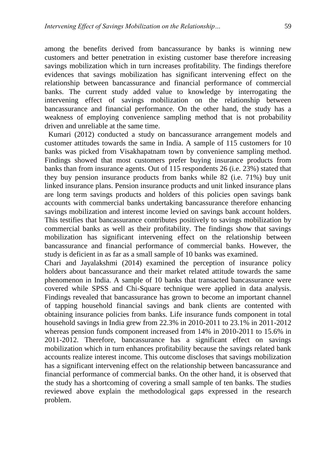among the benefits derived from bancassurance by banks is winning new customers and better penetration in existing customer base therefore increasing savings mobilization which in turn increases profitability. The findings therefore evidences that savings mobilization has significant intervening effect on the relationship between bancassurance and financial performance of commercial banks. The current study added value to knowledge by interrogating the intervening effect of savings mobilization on the relationship between bancassurance and financial performance. On the other hand, the study has a weakness of employing convenience sampling method that is not probability driven and unreliable at the same time.

Kumari (2012) conducted a study on bancassurance arrangement models and customer attitudes towards the same in India. A sample of 115 customers for 10 banks was picked from Visakhapatnam town by convenience sampling method. Findings showed that most customers prefer buying insurance products from banks than from insurance agents. Out of 115 respondents 26 (i.e. 23%) stated that they buy pension insurance products from banks while 82 (i.e. 71%) buy unit linked insurance plans. Pension insurance products and unit linked insurance plans are long term savings products and holders of this policies open savings bank accounts with commercial banks undertaking bancassurance therefore enhancing savings mobilization and interest income levied on savings bank account holders. This testifies that bancassurance contributes positively to savings mobilization by commercial banks as well as their profitability. The findings show that savings mobilization has significant intervening effect on the relationship between bancassurance and financial performance of commercial banks. However, the study is deficient in as far as a small sample of 10 banks was examined.

Chari and Jayalakshmi (2014) examined the perception of insurance policy holders about bancassurance and their market related attitude towards the same phenomenon in India. A sample of 10 banks that transacted bancassurance were covered while SPSS and Chi-Square technique were applied in data analysis. Findings revealed that bancassurance has grown to become an important channel of tapping household financial savings and bank clients are contented with obtaining insurance policies from banks. Life insurance funds component in total household savings in India grew from 22.3% in 2010-2011 to 23.1% in 2011-2012 whereas pension funds component increased from 14% in 2010-2011 to 15.6% in 2011-2012. Therefore, bancassurance has a significant effect on savings mobilization which in turn enhances profitability because the savings related bank accounts realize interest income. This outcome discloses that savings mobilization has a significant intervening effect on the relationship between bancassurance and financial performance of commercial banks. On the other hand, it is observed that the study has a shortcoming of covering a small sample of ten banks. The studies reviewed above explain the methodological gaps expressed in the research problem.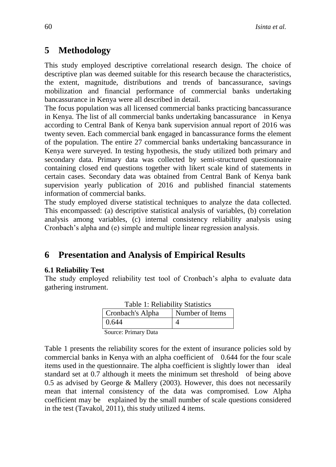# **5 Methodology**

This study employed descriptive correlational research design. The choice of descriptive plan was deemed suitable for this research because the characteristics, the extent, magnitude, distributions and trends of bancassurance, savings mobilization and financial performance of commercial banks undertaking bancassurance in Kenya were all described in detail.

The focus population was all licensed commercial banks practicing bancassurance in Kenya. The list of all commercial banks undertaking bancassurance in Kenya according to Central Bank of Kenya bank supervision annual report of 2016 was twenty seven. Each commercial bank engaged in bancassurance forms the element of the population. The entire 27 commercial banks undertaking bancassurance in Kenya were surveyed. In testing hypothesis, the study utilized both primary and secondary data. Primary data was collected by semi-structured questionnaire containing closed end questions together with likert scale kind of statements in certain cases. Secondary data was obtained from Central Bank of Kenya bank supervision yearly publication of 2016 and published financial statements information of commercial banks.

The study employed diverse statistical techniques to analyze the data collected. This encompassed: (a) descriptive statistical analysis of variables, (b) correlation analysis among variables, (c) internal consistency reliability analysis using Cronbach's alpha and (e) simple and multiple linear regression analysis.

# **6 Presentation and Analysis of Empirical Results**

#### **6.1 Reliability Test**

The study employed reliability test tool of Cronbach's alpha to evaluate data gathering instrument.

| Table 1: Reliability Statistics |                 |  |  |  |  |
|---------------------------------|-----------------|--|--|--|--|
| Cronbach's Alpha                | Number of Items |  |  |  |  |
| 0.644                           |                 |  |  |  |  |
| Source: Primary Data            |                 |  |  |  |  |

Table 1: Reliability Statistics

Table 1 presents the reliability scores for the extent of insurance policies sold by commercial banks in Kenya with an alpha coefficient of 0.644 for the four scale items used in the questionnaire. The alpha coefficient is slightly lower than ideal standard set at 0.7 although it meets the minimum set threshold of being above 0.5 as advised by George & Mallery (2003). However, this does not necessarily mean that internal consistency of the data was compromised. Low Alpha coefficient may be explained by the small number of scale questions considered in the test (Tavakol, 2011), this study utilized 4 items.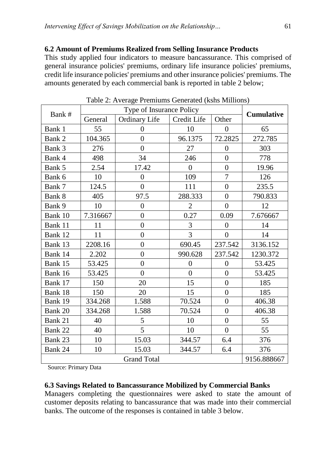#### **6.2 Amount of Premiums Realized from Selling Insurance Products**

This study applied four indicators to measure bancassurance. This comprised of general insurance policies' premiums, ordinary life insurance policies' premiums, credit life insurance policies' premiums and other insurance policies' premiums. The amounts generated by each commercial bank is reported in table 2 below;

| Bank #             |          | <b>Cumulative</b>    |                |                  |             |
|--------------------|----------|----------------------|----------------|------------------|-------------|
|                    | General  | <b>Ordinary Life</b> | Credit Life    | Other            |             |
| Bank 1             | 55       | $\overline{0}$       | 10             | $\overline{0}$   | 65          |
| Bank 2             | 104.365  | $\overline{0}$       | 96.1375        | 72.2825          | 272.785     |
| Bank 3             | 276      | $\overline{0}$       | 27             | $\overline{0}$   | 303         |
| Bank 4             | 498      | 34                   | 246            | $\overline{0}$   | 778         |
| Bank 5             | 2.54     | 17.42                | $\overline{0}$ | $\boldsymbol{0}$ | 19.96       |
| Bank 6             | 10       | $\overline{0}$       | 109            | $\overline{7}$   | 126         |
| Bank 7             | 124.5    | $\boldsymbol{0}$     | 111            | $\boldsymbol{0}$ | 235.5       |
| Bank 8             | 405      | 97.5                 | 288.333        | $\overline{0}$   | 790.833     |
| Bank 9             | 10       | $\boldsymbol{0}$     | $\overline{2}$ | $\overline{0}$   | 12          |
| Bank 10            | 7.316667 | $\overline{0}$       | 0.27           | 0.09             | 7.676667    |
| Bank 11            | 11       | $\overline{0}$       | 3              | $\overline{0}$   | 14          |
| Bank 12            | 11       | $\overline{0}$       | $\overline{3}$ | $\overline{0}$   | 14          |
| Bank 13            | 2208.16  | $\overline{0}$       | 690.45         | 237.542          | 3136.152    |
| Bank 14            | 2.202    | $\overline{0}$       | 990.628        | 237.542          | 1230.372    |
| Bank 15            | 53.425   | $\overline{0}$       | $\overline{0}$ | $\boldsymbol{0}$ | 53.425      |
| Bank 16            | 53.425   | $\overline{0}$       | $\overline{0}$ | $\overline{0}$   | 53.425      |
| Bank 17            | 150      | 20                   | 15             | $\overline{0}$   | 185         |
| Bank 18            | 150      | 20                   | 15             | $\overline{0}$   | 185         |
| Bank 19            | 334.268  | 1.588                | 70.524         | $\overline{0}$   | 406.38      |
| Bank 20            | 334.268  | 1.588                | 70.524         | $\overline{0}$   | 406.38      |
| Bank 21            | 40       | 5                    | 10             | $\overline{0}$   | 55          |
| Bank 22            | 40       | 5                    | 10             | $\overline{0}$   | 55          |
| Bank 23            | 10       | 15.03                | 344.57         | 6.4              | 376         |
| Bank 24            | 10       | 15.03                | 344.57         | 6.4              | 376         |
| <b>Grand Total</b> |          |                      |                |                  | 9156.888667 |

Table 2: Average Premiums Generated (kshs Millions)

Source: Primary Data

#### **6.3 Savings Related to Bancassurance Mobilized by Commercial Banks**

Managers completing the questionnaires were asked to state the amount of customer deposits relating to bancassurance that was made into their commercial banks. The outcome of the responses is contained in table 3 below.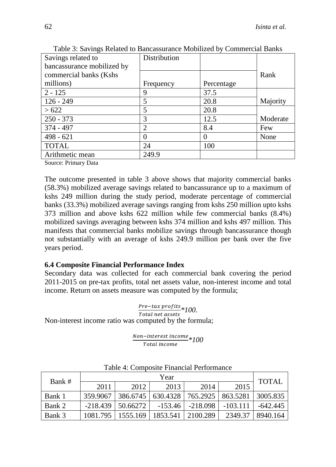| Savings related to         | Distribution   |            |          |
|----------------------------|----------------|------------|----------|
| bancassurance mobilized by |                |            |          |
| commercial banks (Kshs     |                |            | Rank     |
| millions)                  | Frequency      | Percentage |          |
| $2 - 125$                  | 9              | 37.5       |          |
| $126 - 249$                | 5              | 20.8       | Majority |
| >622                       | 5              | 20.8       |          |
| $250 - 373$                | 3              | 12.5       | Moderate |
| 374 - 497                  | $\overline{2}$ | 8.4        | Few      |
| $498 - 621$                | 0              | $\theta$   | None     |
| <b>TOTAL</b>               | 24             | 100        |          |
| Arithmetic mean            | 249.9          |            |          |

Table 3: Savings Related to Bancassurance Mobilized by Commercial Banks

Source: Primary Data

The outcome presented in table 3 above shows that majority commercial banks (58.3%) mobilized average savings related to bancassurance up to a maximum of kshs 249 million during the study period, moderate percentage of commercial banks (33.3%) mobilized average savings ranging from kshs 250 million upto kshs 373 million and above kshs 622 million while few commercial banks (8.4%) mobilized savings averaging between kshs 374 million and kshs 497 million. This manifests that commercial banks mobilize savings through bancassurance though not substantially with an average of kshs 249.9 million per bank over the five years period.

#### **6.4 Composite Financial Performance Index**

Secondary data was collected for each commercial bank covering the period 2011-2015 on pre-tax profits, total net assets value, non-interest income and total income. Return on assets measure was computed by the formula;

Pre−tax profits *<u><i><u>FIE-tax</u>* proj<sub>tts</sub></del> \* 100.<br>Total net assets</u> Non-interest income ratio was computed by the formula;

> Non-interest income *\*100*

| Bank # | Year       |          |           |            |            | <b>TOTAL</b> |
|--------|------------|----------|-----------|------------|------------|--------------|
|        | 2011       | 2012     | 2013      | 2014       | 2015       |              |
| Bank 1 | 359.9067   | 386.6745 | 630.4328  | 765.2925   | 863.5281   | 3005.835     |
| Bank 2 | $-218.439$ | 50.66272 | $-153.46$ | $-218.098$ | $-103.111$ | $-642.445$   |
| Bank 3 | 1081.795   | 1555.169 | 1853.541  | 2100.289   | 2349.37    | 8940.164     |

Table 4: Composite Financial Performance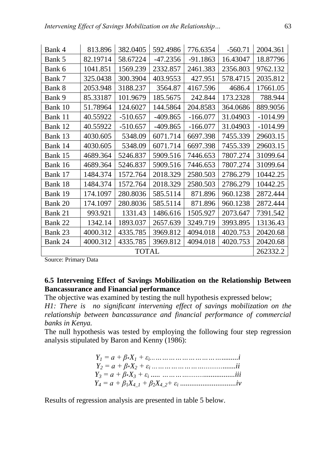| Bank 4       | 813.896  | 382.0405   | 592.4986   | 776.6354   | $-560.71$ | 2004.361   |
|--------------|----------|------------|------------|------------|-----------|------------|
| Bank 5       | 82.19714 | 58.67224   | $-47.2356$ | $-91.1863$ | 16.43047  | 18.87796   |
| Bank 6       | 1041.851 | 1569.239   | 2332.857   | 2461.383   | 2356.803  | 9762.132   |
| Bank 7       | 325.0438 | 300.3904   | 403.9553   | 427.951    | 578.4715  | 2035.812   |
| Bank 8       | 2053.948 | 3188.237   | 3564.87    | 4167.596   | 4686.4    | 17661.05   |
| Bank 9       | 85.33187 | 101.9679   | 185.5675   | 242.844    | 173.2328  | 788.944    |
| Bank 10      | 51.78964 | 124.6027   | 144.5864   | 204.8583   | 364.0686  | 889.9056   |
| Bank 11      | 40.55922 | $-510.657$ | $-409.865$ | $-166.077$ | 31.04903  | $-1014.99$ |
| Bank 12      | 40.55922 | $-510.657$ | $-409.865$ | $-166.077$ | 31.04903  | $-1014.99$ |
| Bank 13      | 4030.605 | 5348.09    | 6071.714   | 6697.398   | 7455.339  | 29603.15   |
| Bank 14      | 4030.605 | 5348.09    | 6071.714   | 6697.398   | 7455.339  | 29603.15   |
| Bank 15      | 4689.364 | 5246.837   | 5909.516   | 7446.653   | 7807.274  | 31099.64   |
| Bank 16      | 4689.364 | 5246.837   | 5909.516   | 7446.653   | 7807.274  | 31099.64   |
| Bank 17      | 1484.374 | 1572.764   | 2018.329   | 2580.503   | 2786.279  | 10442.25   |
| Bank 18      | 1484.374 | 1572.764   | 2018.329   | 2580.503   | 2786.279  | 10442.25   |
| Bank 19      | 174.1097 | 280.8036   | 585.5114   | 871.896    | 960.1238  | 2872.444   |
| Bank 20      | 174.1097 | 280.8036   | 585.5114   | 871.896    | 960.1238  | 2872.444   |
| Bank 21      | 993.921  | 1331.43    | 1486.616   | 1505.927   | 2073.647  | 7391.542   |
| Bank 22      | 1342.14  | 1893.037   | 2657.639   | 3249.719   | 3993.895  | 13136.43   |
| Bank 23      | 4000.312 | 4335.785   | 3969.812   | 4094.018   | 4020.753  | 20420.68   |
| Bank 24      | 4000.312 | 4335.785   | 3969.812   | 4094.018   | 4020.753  | 20420.68   |
| <b>TOTAL</b> |          |            |            |            |           | 262332.2   |

Source: Primary Data

#### **6.5 Intervening Effect of Savings Mobilization on the Relationship Between Bancassurance and Financial performance**

The objective was examined by testing the null hypothesis expressed below;

*H1: There is no significant intervening effect of savings mobilization on the relationship between bancassurance and financial performance of commercial banks in Kenya.*

The null hypothesis was tested by employing the following four step regression analysis stipulated by Baron and Kenny (1986):

Results of regression analysis are presented in table 5 below.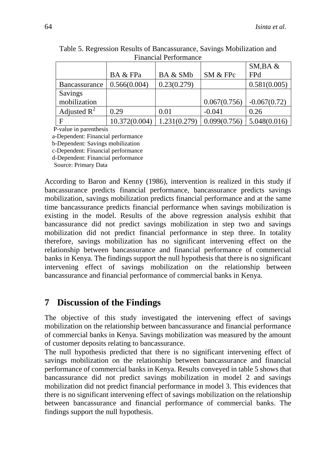| T mancial I cribiniance |               |              |              |                |  |
|-------------------------|---------------|--------------|--------------|----------------|--|
|                         |               |              |              | SM, BA &       |  |
|                         | BA & FPa      | BA & SMb     | SM & FPc     | FPd            |  |
| Bancassurance           | 0.566(0.004)  | 0.23(0.279)  |              | 0.581(0.005)   |  |
| Savings                 |               |              |              |                |  |
| mobilization            |               |              | 0.067(0.756) | $-0.067(0.72)$ |  |
| Adjusted $R^2$          | 0.29          | 0.01         | $-0.041$     | 0.26           |  |
|                         | 10.372(0.004) | 1.231(0.279) | 0.099(0.756) | 5.048(0.016)   |  |

Table 5. Regression Results of Bancassurance, Savings Mobilization and Financial Performance

P-value in parenthesis

a-Dependent: Financial performance

b-Dependent: Savings mobilization

c-Dependent: Financial performance

d-Dependent: Financial performance

Source: Primary Data

According to Baron and Kenny (1986), intervention is realized in this study if bancassurance predicts financial performance, bancassurance predicts savings mobilization, savings mobilization predicts financial performance and at the same time bancassurance predicts financial performance when savings mobilization is existing in the model. Results of the above regression analysis exhibit that bancassurance did not predict savings mobilization in step two and savings mobilization did not predict financial performance in step three. In totality therefore, savings mobilization has no significant intervening effect on the relationship between bancassurance and financial performance of commercial banks in Kenya. The findings support the null hypothesis that there is no significant intervening effect of savings mobilization on the relationship between bancassurance and financial performance of commercial banks in Kenya.

## **7 Discussion of the Findings**

The objective of this study investigated the intervening effect of savings mobilization on the relationship between bancassurance and financial performance of commercial banks in Kenya. Savings mobilization was measured by the amount of customer deposits relating to bancassurance.

The null hypothesis predicted that there is no significant intervening effect of savings mobilization on the relationship between bancassurance and financial performance of commercial banks in Kenya. Results conveyed in table 5 shows that bancassurance did not predict savings mobilization in model 2 and savings mobilization did not predict financial performance in model 3. This evidences that there is no significant intervening effect of savings mobilization on the relationship between bancassurance and financial performance of commercial banks. The findings support the null hypothesis.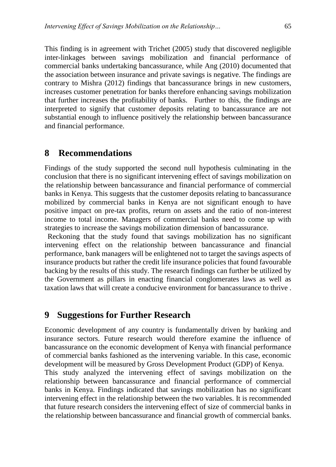This finding is in agreement with Trichet (2005) study that discovered negligible inter-linkages between savings mobilization and financial performance of commercial banks undertaking bancassurance, while Ang (2010) documented that the association between insurance and private savings is negative. The findings are contrary to Mishra (2012) findings that bancassurance brings in new customers, increases customer penetration for banks therefore enhancing savings mobilization that further increases the profitability of banks. Further to this, the findings are interpreted to signify that customer deposits relating to bancassurance are not substantial enough to influence positively the relationship between bancassurance and financial performance.

#### **8 Recommendations**

Findings of the study supported the second null hypothesis culminating in the conclusion that there is no significant intervening effect of savings mobilization on the relationship between bancassurance and financial performance of commercial banks in Kenya. This suggests that the customer deposits relating to bancassurance mobilized by commercial banks in Kenya are not significant enough to have positive impact on pre-tax profits, return on assets and the ratio of non-interest income to total income. Managers of commercial banks need to come up with strategies to increase the savings mobilization dimension of bancassurance.

Reckoning that the study found that savings mobilization has no significant intervening effect on the relationship between bancassurance and financial performance, bank managers will be enlightened not to target the savings aspects of insurance products but rather the credit life insurance policies that found favourable backing by the results of this study. The research findings can further be utilized by the Government as pillars in enacting financial conglomerates laws as well as taxation laws that will create a conducive environment for bancassurance to thrive .

### **9 Suggestions for Further Research**

Economic development of any country is fundamentally driven by banking and insurance sectors. Future research would therefore examine the influence of bancassurance on the economic development of Kenya with financial performance of commercial banks fashioned as the intervening variable. In this case, economic development will be measured by Gross Development Product (GDP) of Kenya. This study analyzed the intervening effect of savings mobilization on the relationship between bancassurance and financial performance of commercial banks in Kenya. Findings indicated that savings mobilization has no significant intervening effect in the relationship between the two variables. It is recommended that future research considers the intervening effect of size of commercial banks in the relationship between bancassurance and financial growth of commercial banks.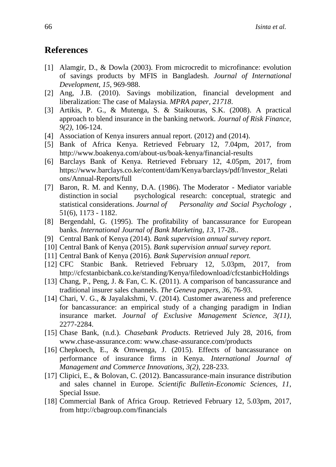### **References**

- [1] Alamgir, D., & Dowla (2003). From microcredit to microfinance: evolution of savings products by MFIS in Bangladesh. *Journal of International Development, 15*, 969-988.
- [2] Ang, J.B. (2010). Savings mobilization, financial development and liberalization: The case of Malaysia. *MPRA paper, 21718*.
- [3] Artikis, P. G., & Mutenga, S. & Staikouras, S.K. (2008). A practical approach to blend insurance in the banking network. *Journal of Risk Finance, 9(2)*, 106-124.
- [4] Association of Kenya insurers annual report. (2012) and (2014).
- [5] Bank of Africa Kenya. Retrieved February 12, 7.04pm, 2017, from http://www.boakenya.com/about-us/boak-kenya/financial-results
- [6] Barclays Bank of Kenya. Retrieved February 12, 4.05pm, 2017, from https://www.barclays.co.ke/content/dam/Kenya/barclays/pdf/Investor\_Relati ons/Annual-Reports/full
- [7] Baron, R. M. and Kenny, D.A. (1986). The Moderator Mediator variable distinction in social psychological research: conceptual, strategic and statistical considerations. *Journal of Personality and Social Psychology* , 51(6), 1173 - 1182.
- [8] Bergendahl, G. (1995). The profitability of bancassurance for European banks. *International Journal of Bank Marketing, 13*, 17-28..
- [9] Central Bank of Kenya (2014). *Bank supervision annual survey report.*
- [10] Central Bank of Kenya (2015). *Bank supervision annual survey report.*
- [11] Central Bank of Kenya (2016). *Bank Supervision annual report.*
- [12] CFC Stanbic Bank. Retrieved February 12, 5.03pm, 2017, from http://cfcstanbicbank.co.ke/standing/Kenya/filedownload/cfcstanbicHoldings
- [13] Chang, P., Peng, J. & Fan, C. K. (2011). A comparison of bancassurance and traditional insurer sales channels. *The Geneva papers, 36*, 76-93.
- [14] Chari, V. G., & Jayalakshmi, V. (2014). Customer awareness and preference for bancassurance: an empirical study of a changing paradigm in Indian insurance market. *Journal of Exclusive Management Science, 3(11)*, 2277-2284.
- [15] Chase Bank, (n.d.). *Chasebank Products*. Retrieved July 28, 2016, from www.chase-assurance.com: www.chase-assurance.com/products
- [16] Chepkoech, E., & Omwenga, J. (2015). Effects of bancassurance on performance of insurance firms in Kenya. *International Journal of Management and Commerce Innovations, 3(2)*, 228-233.
- [17] Clipici, E., & Bolovan, C. (2012). Bancassurance-main insurance distribution and sales channel in Europe. *Scientific Bulletin-Economic Sciences, 11*, Special Issue.
- [18] Commercial Bank of Africa Group. Retrieved February 12, 5.03pm, 2017, from http://cbagroup.com/financials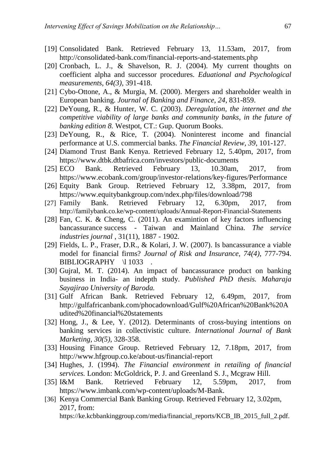- [19] Consolidated Bank. Retrieved February 13, 11.53am, 2017, from http://consolidated-bank.com/financial-reports-and-statements.php
- [20] Cronbach, L. J., & Shavelson, R. J. (2004). My current thoughts on coefficient alpha and successor procedures. *Eduational and Psychological measurements, 64(3)*, 391-418.
- [21] Cybo-Ottone, A., & Murgia, M. (2000). Mergers and shareholder wealth in European banking. *Journal of Banking and Finance, 24*, 831-859.
- [22] DeYoung, R., & Hunter, W. C. (2003). *Deregulation, the internet and the competitive viability of large banks and community banks, in the future of banking edition 8.* Westpot, CT.: Gup. Quorum Books.
- [23] DeYoung, R., & Rice, T. (2004). Noninterest income and financial performance at U.S. commercial banks. *The Financial Review, 39*, 101-127.
- [24] Diamond Trust Bank Kenya. Retrieved February 12, 5.40pm, 2017, from https://www.dtbk.dtbafrica.com/investors/public-documents
- [25] ECO Bank. Retrieved February 13, 10.30am, 2017, from https://www.ecobank.com/group/investor-relations/key-figures/Performance
- [26] Equity Bank Group. Retrieved February 12, 3.38pm, 2017, from https://www.equitybankgroup.com/ndex.php/files/download/798
- [27] Family Bank. Retrieved February 12, 6.30pm, 2017, from http://familybank.co.ke/wp-content/uploads/Annual-Report-Financial-Statements
- [28] Fan, C. K. & Cheng, C. (2011). An examintion of key factors influencing bancassurance success - Taiwan and Mainland China. *The service industries journal* , 31(11), 1887 - 1902.
- [29] Fields, L. P., Fraser, D.R., & Kolari, J. W. (2007). Is bancassurance a viable model for financial firms? *Journal of Risk and Insurance, 74(4)*, 777-794. BIBLIOGRAPHY \l 1033.
- [30] Gujral, M. T. (2014). An impact of bancassurance product on banking business in India- an indepth study. *Published PhD thesis. Maharaja Sayajirao University of Baroda.*
- [31] Gulf African Bank. Retrieved February 12, 6.49pm, 2017, from http://gulfafricanbank.com/phocadownload/Gulf%20African%20Bank%20A udited%20financial%20statements
- [32] Hong, J., & Lee, Y. (2012). Determinants of cross-buying intentions on banking services in collectivistic culture. *International Journal of Bank Marketing, 30(5)*, 328-358.
- [33] Housing Finance Group. Retrieved February 12, 7.18pm, 2017, from http://www.hfgroup.co.ke/about-us/financial-report
- [34] Hughes, J. (1994). *The Financial environment in retailing of financial services.* London: McGoldrick, P. J. and Greenland S. J., Mcgraw Hill.
- [35] I&M Bank. Retrieved February 12, 5.59pm, 2017, from https://www.imbank.com/wp-content/uploads/M-Bank.
- [36] Kenya Commercial Bank Banking Group. Retrieved February 12, 3.02pm, 2017, from: https://ke.kcbbankinggroup.com/media/financial\_reports/KCB\_IB\_2015\_full\_2.pdf.